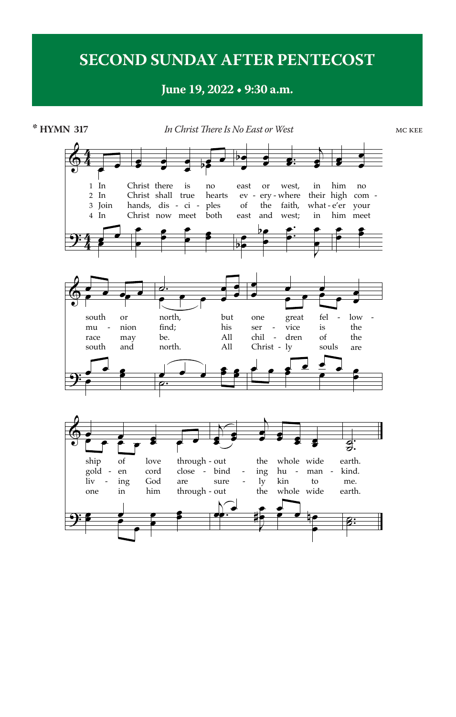## **SECOND SUNDAY AFTER PENTECOST**

## **June 19, 2022 • 9:30 a.m.**